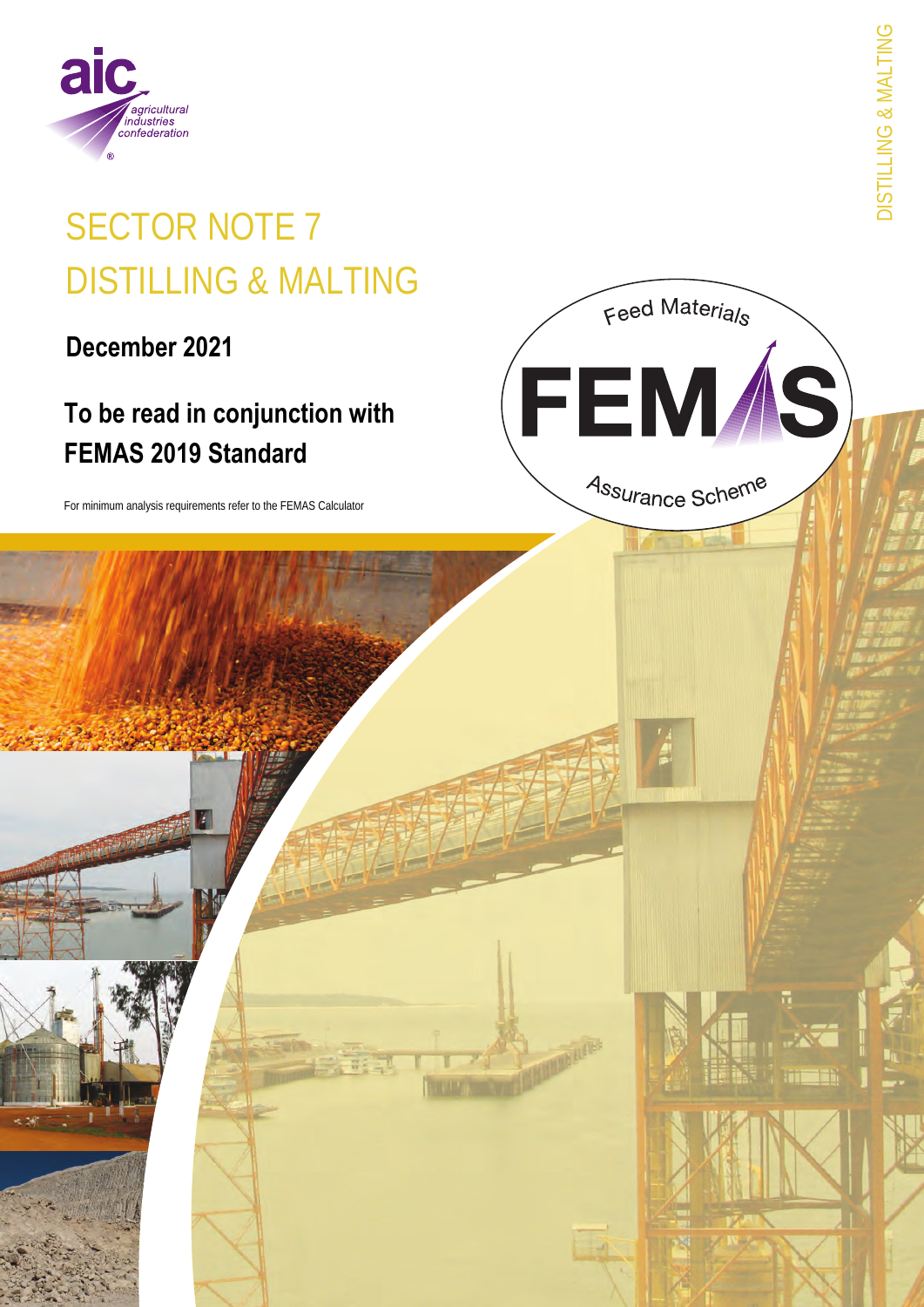

# **SECTOR NOTE 7 DISTILLING & MALTING**

December 2021

# To be read in conjunction with **FEMAS 2019 Standard**

For minimum analysis requirements refer to the FEMAS Calculator

**DISTILLING & MALTING** 

Feed Materials

FEM*Í*S)

Assurance Scheme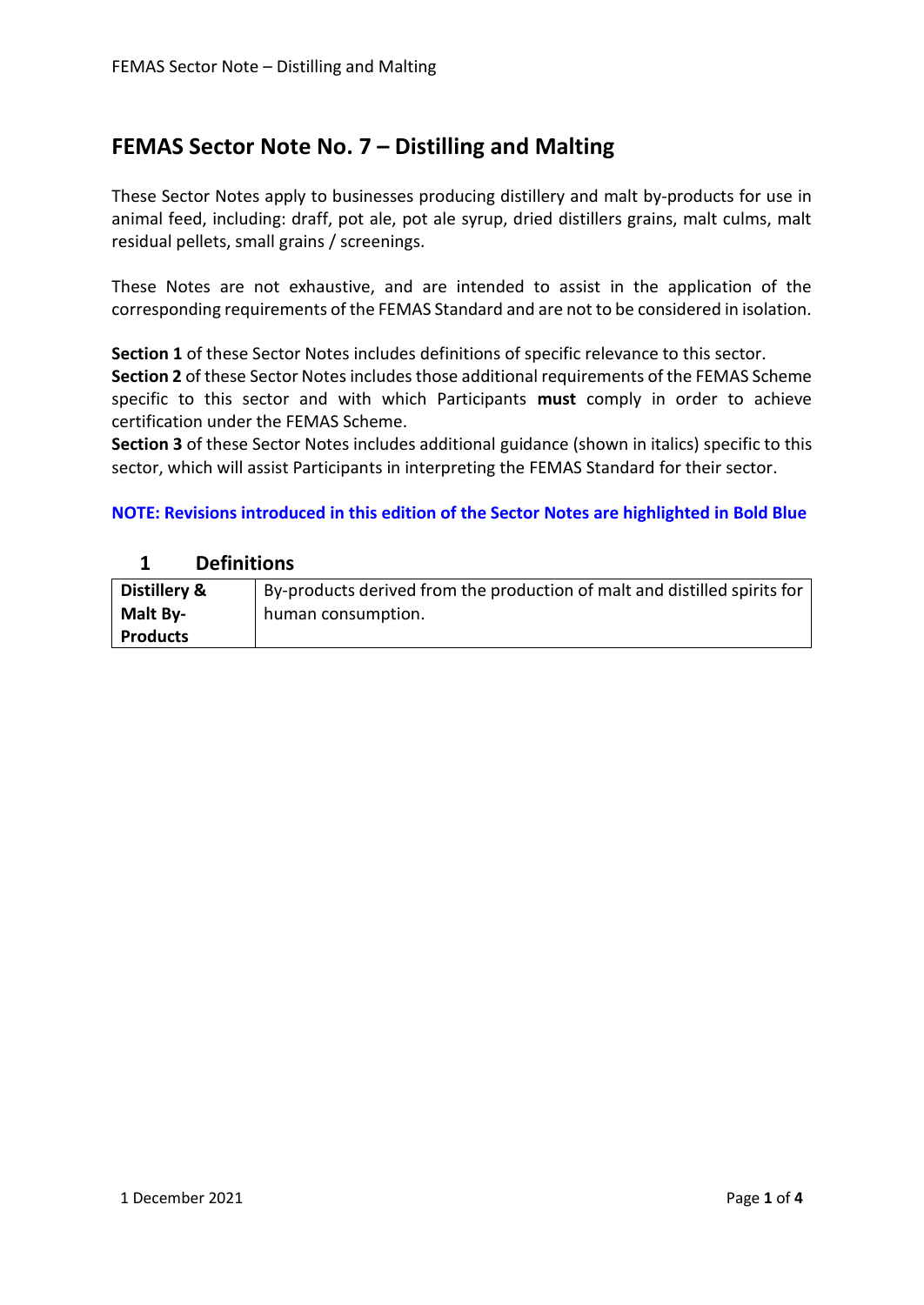### **FEMAS Sector Note No. 7 – Distilling and Malting**

These Sector Notes apply to businesses producing distillery and malt by-products for use in animal feed, including: draff, pot ale, pot ale syrup, dried distillers grains, malt culms, malt residual pellets, small grains / screenings.

These Notes are not exhaustive, and are intended to assist in the application of the corresponding requirements of the FEMAS Standard and are not to be considered in isolation.

**Section 1** of these Sector Notes includes definitions of specific relevance to this sector.

**Section 2** of these Sector Notes includes those additional requirements of the FEMAS Scheme specific to this sector and with which Participants **must** comply in order to achieve certification under the FEMAS Scheme.

**Section 3** of these Sector Notes includes additional guidance (shown in italics) specific to this sector, which will assist Participants in interpreting the FEMAS Standard for their sector.

#### **NOTE: Revisions introduced in this edition of the Sector Notes are highlighted in Bold Blue**

#### **1 Definitions**

| Distillery &    | By-products derived from the production of malt and distilled spirits for |
|-----------------|---------------------------------------------------------------------------|
| Malt By-        | human consumption.                                                        |
| <b>Products</b> |                                                                           |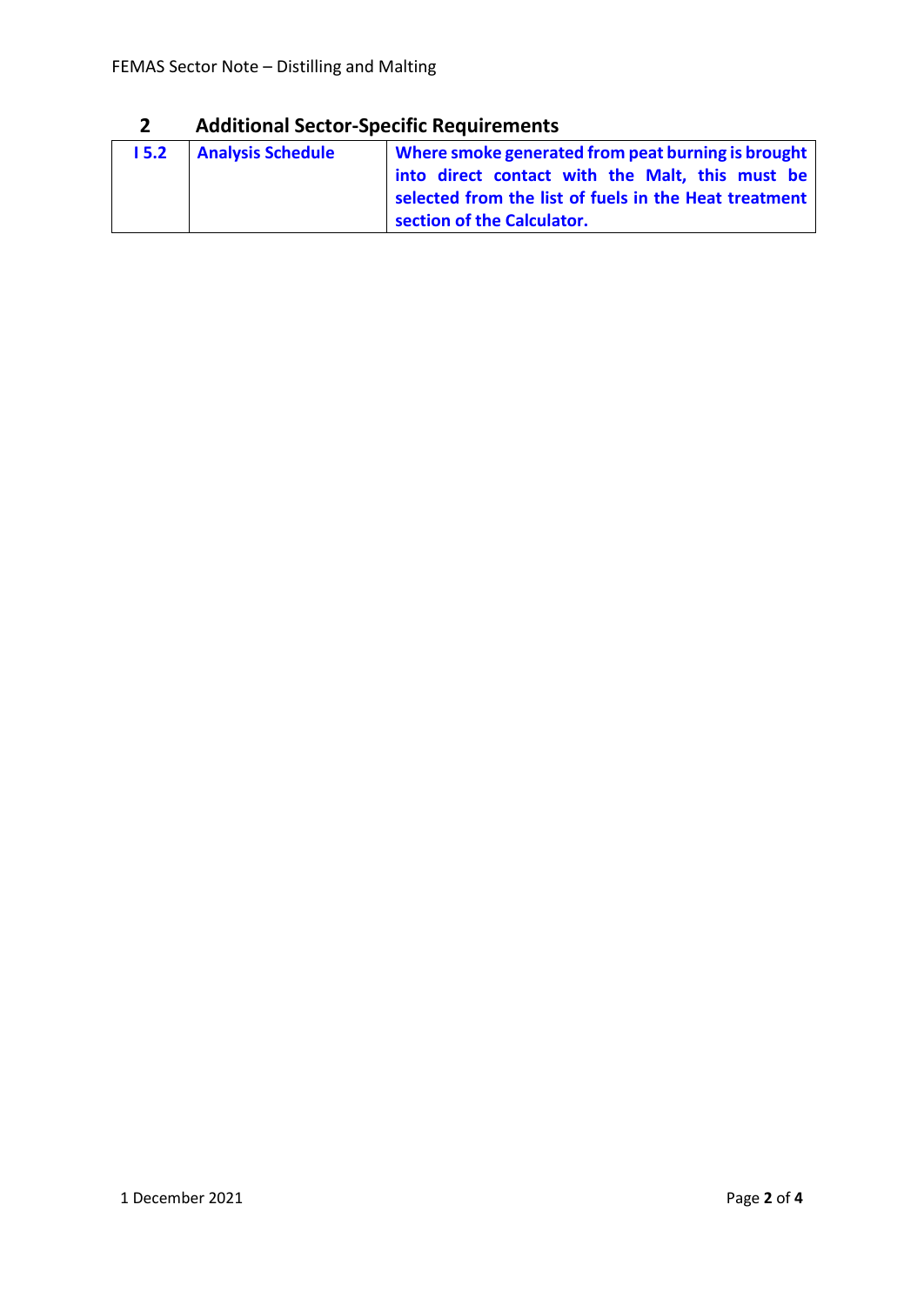## **2 Additional Sector-Specific Requirements**

| 15.2 | <b>Analysis Schedule</b> | Where smoke generated from peat burning is brought<br>into direct contact with the Malt, this must be |
|------|--------------------------|-------------------------------------------------------------------------------------------------------|
|      |                          | selected from the list of fuels in the Heat treatment<br>section of the Calculator.                   |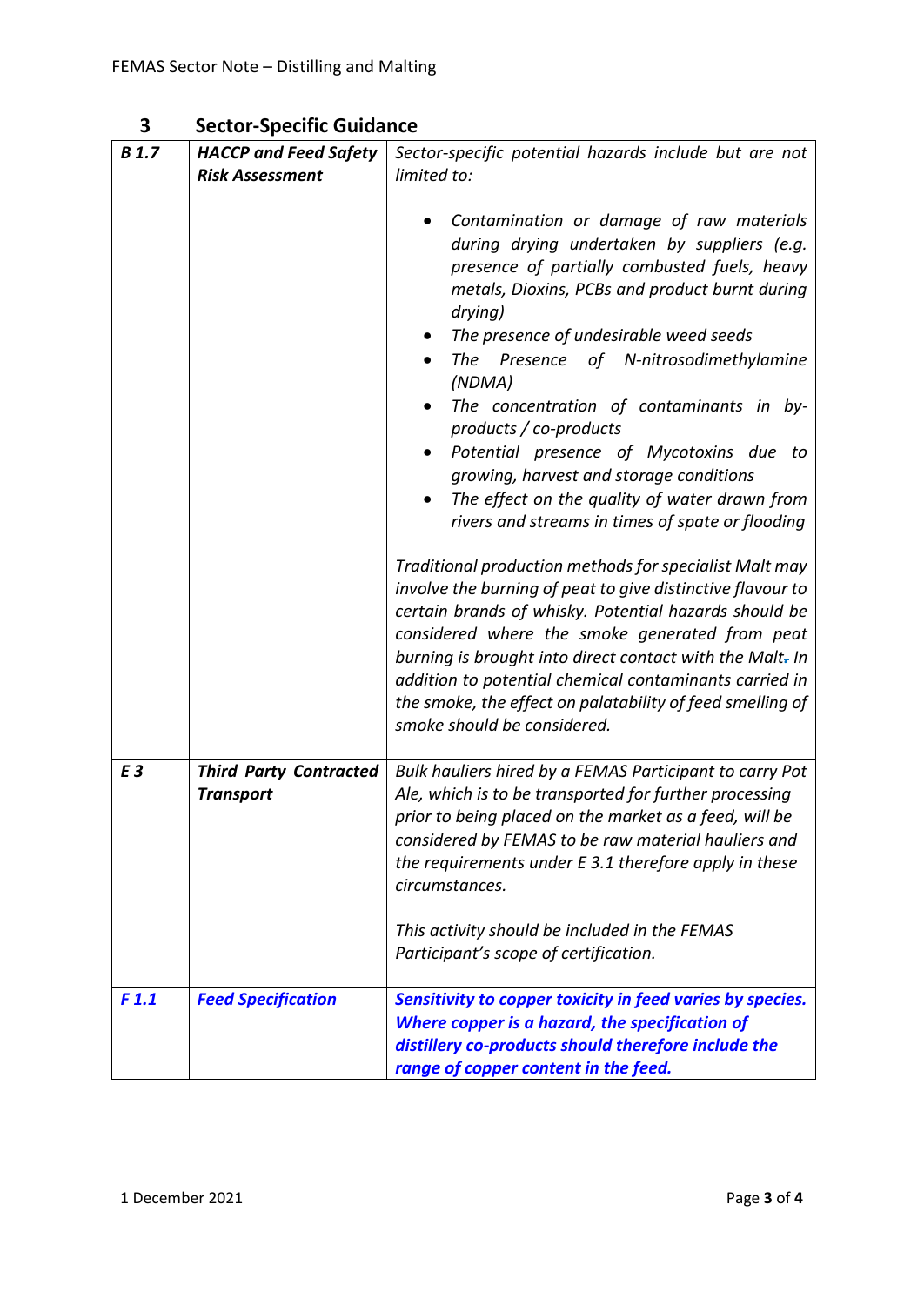| 3 | <b>Sector-Specific Guidance</b> |  |
|---|---------------------------------|--|
|---|---------------------------------|--|

| <b>B</b> 1.7 | <b>HACCP and Feed Safety</b>                      | Sector-specific potential hazards include but are not                                                                                                                                                                                                                                                                                                                                                                                                                                                                                                                                                                                                                                                                                                                                                                                                                                                                                                                                                                                                           |
|--------------|---------------------------------------------------|-----------------------------------------------------------------------------------------------------------------------------------------------------------------------------------------------------------------------------------------------------------------------------------------------------------------------------------------------------------------------------------------------------------------------------------------------------------------------------------------------------------------------------------------------------------------------------------------------------------------------------------------------------------------------------------------------------------------------------------------------------------------------------------------------------------------------------------------------------------------------------------------------------------------------------------------------------------------------------------------------------------------------------------------------------------------|
|              | <b>Risk Assessment</b>                            | limited to:                                                                                                                                                                                                                                                                                                                                                                                                                                                                                                                                                                                                                                                                                                                                                                                                                                                                                                                                                                                                                                                     |
|              |                                                   | Contamination or damage of raw materials<br>during drying undertaken by suppliers (e.g.<br>presence of partially combusted fuels, heavy<br>metals, Dioxins, PCBs and product burnt during<br>drying)<br>The presence of undesirable weed seeds<br>The Presence of N-nitrosodimethylamine<br>(NDMA)<br>The concentration of contaminants in by-<br>$\bullet$<br>products / co-products<br>Potential presence of Mycotoxins due to<br>$\bullet$<br>growing, harvest and storage conditions<br>The effect on the quality of water drawn from<br>$\bullet$<br>rivers and streams in times of spate or flooding<br>Traditional production methods for specialist Malt may<br>involve the burning of peat to give distinctive flavour to<br>certain brands of whisky. Potential hazards should be<br>considered where the smoke generated from peat<br>burning is brought into direct contact with the Malt. In<br>addition to potential chemical contaminants carried in<br>the smoke, the effect on palatability of feed smelling of<br>smoke should be considered. |
| E3           | <b>Third Party Contracted</b><br><b>Transport</b> | Bulk hauliers hired by a FEMAS Participant to carry Pot<br>Ale, which is to be transported for further processing<br>prior to being placed on the market as a feed, will be<br>considered by FEMAS to be raw material hauliers and<br>the requirements under E 3.1 therefore apply in these<br>circumstances.                                                                                                                                                                                                                                                                                                                                                                                                                                                                                                                                                                                                                                                                                                                                                   |
|              |                                                   | This activity should be included in the FEMAS<br>Participant's scope of certification.                                                                                                                                                                                                                                                                                                                                                                                                                                                                                                                                                                                                                                                                                                                                                                                                                                                                                                                                                                          |
| F1.1         | <b>Feed Specification</b>                         | Sensitivity to copper toxicity in feed varies by species.<br>Where copper is a hazard, the specification of<br>distillery co-products should therefore include the<br>range of copper content in the feed.                                                                                                                                                                                                                                                                                                                                                                                                                                                                                                                                                                                                                                                                                                                                                                                                                                                      |